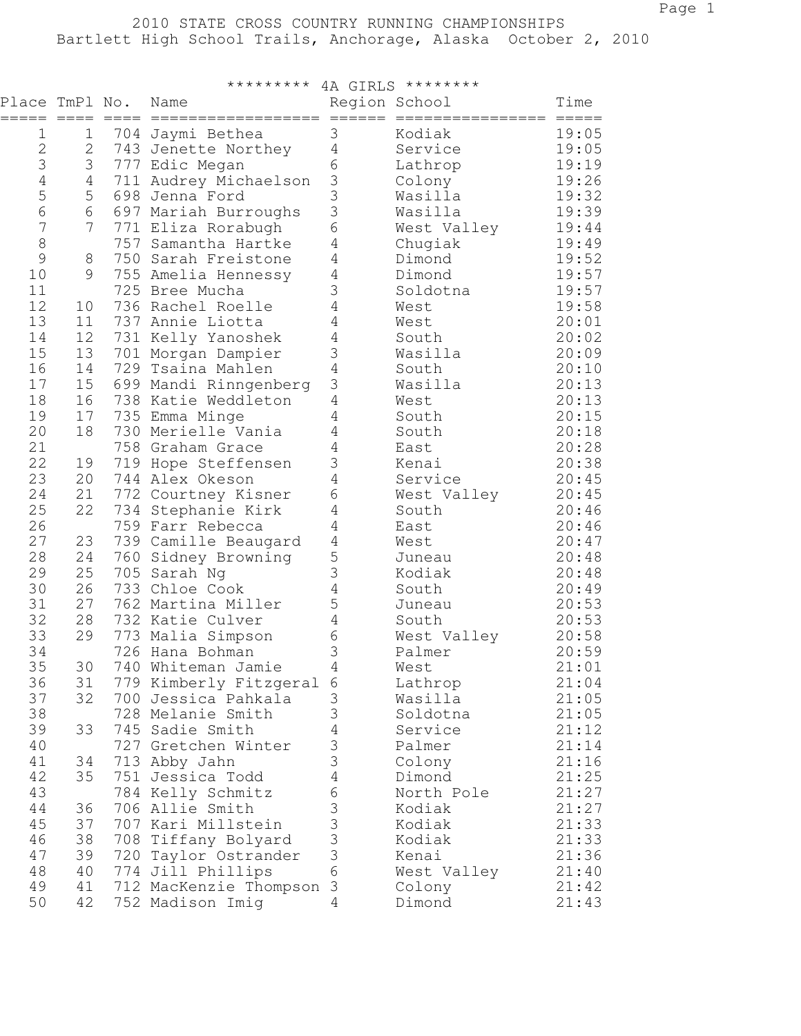|                           |                |         | ********* 4A GIRLS ******** |                                      |                  |                       |
|---------------------------|----------------|---------|-----------------------------|--------------------------------------|------------------|-----------------------|
| Place TmPl No.<br>$=====$ | $== == =$      | $=====$ | Name<br>==================  | Region School<br>$=$ $=$ $=$ $=$ $=$ | ================ | Time<br>$= = = = = =$ |
| 1                         | 1              |         | 704 Jaymi Bethea            | 3                                    | Kodiak           | 19:05                 |
| 2                         | $\overline{c}$ |         | 743 Jenette Northey         | $\overline{4}$                       | Service          | 19:05                 |
| 3                         | 3              |         | 777 Edic Megan              | 6                                    | Lathrop          | 19:19                 |
| $\sqrt{4}$                | 4              |         | 711 Audrey Michaelson       | $\mathfrak{Z}$                       | Colony           | 19:26                 |
| 5                         | 5              |         | 698 Jenna Ford              | 3                                    | Wasilla          | 19:32                 |
| $\sqrt{6}$                | 6              |         | 697 Mariah Burroughs        | 3                                    | Wasilla          | 19:39                 |
| $\overline{7}$            | 7              |         | 771 Eliza Rorabugh          | 6                                    | West Valley      | 19:44                 |
| 8                         |                |         | 757 Samantha Hartke         | $\sqrt{4}$                           | Chugiak          | 19:49                 |
| 9                         | 8              |         | 750 Sarah Freistone         | 4                                    | Dimond           | 19:52                 |
| 10                        | $\mathcal{G}$  |         | 755 Amelia Hennessy         | $\sqrt{4}$                           | Dimond           | 19:57                 |
| 11                        |                |         | 725 Bree Mucha              | 3                                    | Soldotna         | 19:57                 |
| 12                        | 10             |         | 736 Rachel Roelle           | $\sqrt{4}$                           | West             | 19:58                 |
| 13                        | 11             |         | 737 Annie Liotta            | 4                                    | West             | 20:01                 |
| 14                        | 12             |         | 731 Kelly Yanoshek          | $\sqrt{4}$                           | South            | 20:02                 |
| 15                        | 13             |         | 701 Morgan Dampier          | 3                                    | Wasilla          | 20:09                 |
| 16                        | 14             |         | 729 Tsaina Mahlen           | $\sqrt{4}$                           | South            | 20:10                 |
| 17                        | 15             |         | 699 Mandi Rinngenberg       | 3                                    | Wasilla          | 20:13                 |
| 18                        | 16             |         | 738 Katie Weddleton         | 4                                    | West             | 20:13                 |
| 19                        | 17             |         | 735 Emma Minge              | $\sqrt{4}$                           | South            | 20:15                 |
| 20                        | 18             |         | 730 Merielle Vania          | $\sqrt{4}$                           | South            | 20:18                 |
| 21                        |                |         | 758 Graham Grace            | $\sqrt{4}$                           | East             | 20:28                 |
| 22                        | 19             |         | 719 Hope Steffensen         | 3                                    | Kenai            | 20:38                 |
| 23                        | 20             |         | 744 Alex Okeson             | 4                                    | Service          | 20:45                 |
| 24                        | 21             |         | 772 Courtney Kisner         | 6                                    | West Valley      | 20:45                 |
| 25                        | 22             |         | 734 Stephanie Kirk          | 4                                    | South            | 20:46                 |
| 26                        |                |         | 759 Farr Rebecca            | 4                                    | East             | 20:46                 |
| 27                        | 23             |         | 739 Camille Beaugard        | $\sqrt{4}$                           | West             | 20:47                 |
| 28                        | 24             | 760     | Sidney Browning             | 5                                    | Juneau           | 20:48                 |
| 29                        | 25             |         | 705 Sarah Ng                | 3                                    | Kodiak           | 20:48                 |
| 30                        | 26             | 733     | Chloe Cook                  | $\sqrt{4}$                           | South            | 20:49                 |
| 31                        | 27             |         | 762 Martina Miller          | 5                                    | Juneau           | 20:53                 |
| 32                        | 28             |         | 732 Katie Culver            | $\sqrt{4}$                           | South            | 20:53                 |
| 33                        | 29             | 773     | Malia Simpson               | 6                                    | West Valley      | 20:58                 |
| 34                        |                |         | 726 Hana Bohman             | 3                                    | Palmer           | 20:59                 |
| 35                        | 30             |         | 740 Whiteman Jamie          | 4                                    | West             | 21:01                 |
| 36                        | 31             |         | 779 Kimberly Fitzgeral      | 6                                    | Lathrop          | 21:04                 |
| 37                        | 32             |         | 700 Jessica Pahkala         | 3                                    | Wasilla          | 21:05                 |
| 38                        |                |         | 728 Melanie Smith           | 3                                    | Soldotna         | 21:05                 |
| 39                        | 33             |         | 745 Sadie Smith             | $\overline{4}$                       | Service          | 21:12                 |
| 40                        |                |         | 727 Gretchen Winter         | 3                                    | Palmer           | 21:14                 |
| 41                        | 34             |         | 713 Abby Jahn               | 3                                    | Colony           | 21:16                 |
| 42                        | 35             |         | 751 Jessica Todd            | $\overline{4}$                       | Dimond           | 21:25                 |
| 43                        |                |         | 784 Kelly Schmitz           | 6                                    | North Pole       | 21:27                 |
| 44                        | 36             |         | 706 Allie Smith             | $\mathfrak{Z}$                       | Kodiak           | 21:27                 |
| 45                        | 37             |         | 707 Kari Millstein          | 3                                    | Kodiak           | 21:33                 |
| 46                        | 38             |         | 708 Tiffany Bolyard         | 3                                    | Kodiak           | 21:33                 |
| 47                        | 39             |         | 720 Taylor Ostrander        | 3                                    | Kenai            | 21:36                 |
| 48                        | 40             |         | 774 Jill Phillips           | 6                                    | West Valley      | 21:40                 |
| 49                        | 41             |         | 712 MacKenzie Thompson 3    |                                      | Colony           | 21:42                 |
| 50                        | 42             |         | 752 Madison Imig            | 4                                    | Dimond           | 21:43                 |